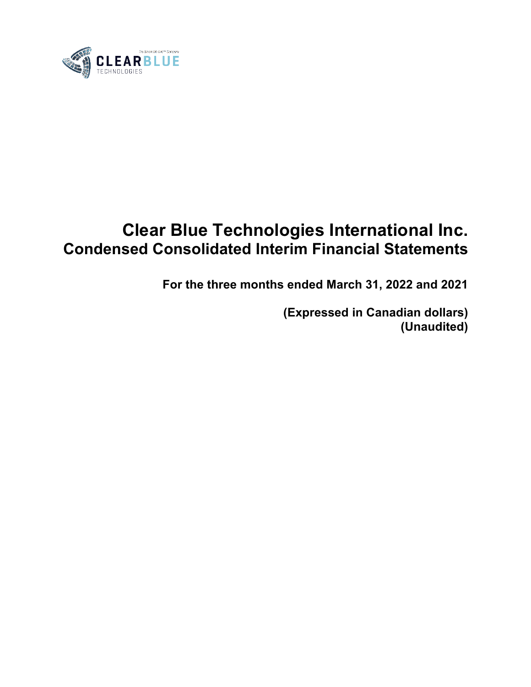

# **Clear Blue Technologies International Inc. Condensed Consolidated Interim Financial Statements**

**For the three months ended March 31, 2022 and 2021**

**(Expressed in Canadian dollars) (Unaudited)**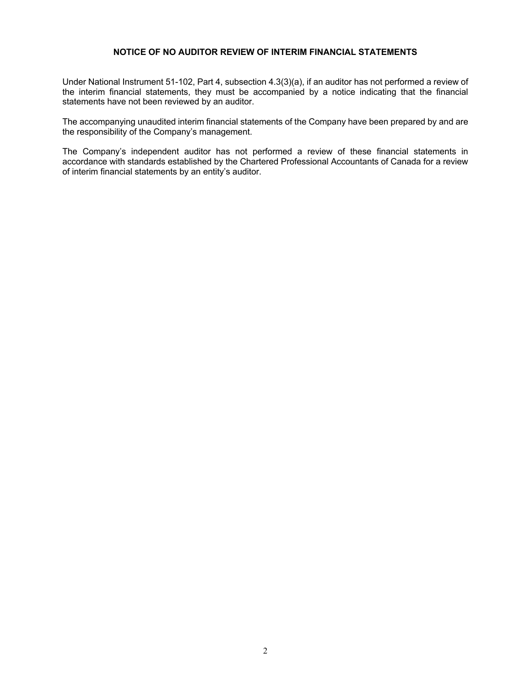#### **NOTICE OF NO AUDITOR REVIEW OF INTERIM FINANCIAL STATEMENTS**

Under National Instrument 51-102, Part 4, subsection 4.3(3)(a), if an auditor has not performed a review of the interim financial statements, they must be accompanied by a notice indicating that the financial statements have not been reviewed by an auditor.

The accompanying unaudited interim financial statements of the Company have been prepared by and are the responsibility of the Company's management.

The Company's independent auditor has not performed a review of these financial statements in accordance with standards established by the Chartered Professional Accountants of Canada for a review of interim financial statements by an entity's auditor.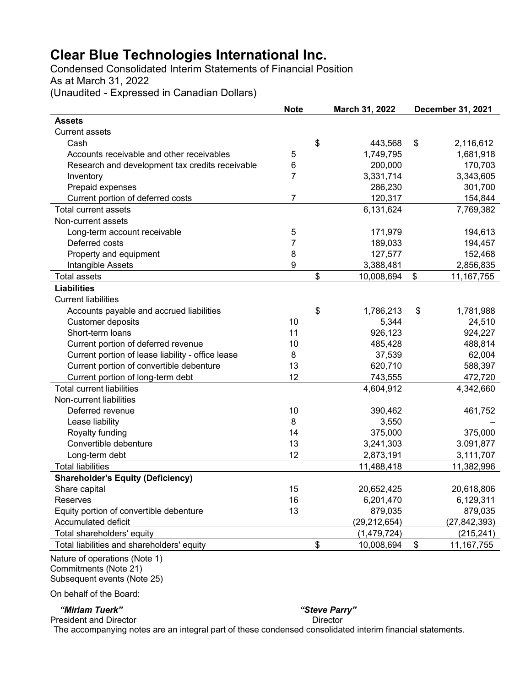Condensed Consolidated Interim Statements of Financial Position As at March 31, 2022 (Unaudited - Expressed in Canadian Dollars)

|                                                   | <b>Note</b>    | March 31, 2022   | <b>December 31, 2021</b> |
|---------------------------------------------------|----------------|------------------|--------------------------|
| <b>Assets</b>                                     |                |                  |                          |
| <b>Current assets</b>                             |                |                  |                          |
| Cash                                              |                | \$<br>443,568    | \$<br>2,116,612          |
| Accounts receivable and other receivables         | 5              | 1,749,795        | 1,681,918                |
| Research and development tax credits receivable   | 6              | 200,000          | 170,703                  |
| Inventory                                         | $\overline{7}$ | 3,331,714        | 3,343,605                |
| Prepaid expenses                                  |                | 286,230          | 301,700                  |
| Current portion of deferred costs                 | $\overline{7}$ | 120,317          | 154,844                  |
| <b>Total current assets</b>                       |                | 6,131,624        | 7,769,382                |
| Non-current assets                                |                |                  |                          |
| Long-term account receivable                      | 5              | 171,979          | 194,613                  |
| Deferred costs                                    | 7              | 189,033          | 194,457                  |
| Property and equipment                            | 8              | 127,577          | 152,468                  |
| Intangible Assets                                 | 9              | 3,388,481        | 2,856,835                |
| <b>Total assets</b>                               |                | \$<br>10,008,694 | \$<br>11, 167, 755       |
| <b>Liabilities</b>                                |                |                  |                          |
| <b>Current liabilities</b>                        |                |                  |                          |
| Accounts payable and accrued liabilities          |                | \$<br>1,786,213  | \$<br>1,781,988          |
| Customer deposits                                 | 10             | 5,344            | 24,510                   |
| Short-term loans                                  | 11             | 926,123          | 924,227                  |
| Current portion of deferred revenue               | 10             | 485,428          | 488,814                  |
| Current portion of lease liability - office lease | 8              | 37,539           | 62,004                   |
| Current portion of convertible debenture          | 13             | 620,710          | 588,397                  |
| Current portion of long-term debt                 | 12             | 743,555          | 472,720                  |
| <b>Total current liabilities</b>                  |                | 4,604,912        | 4,342,660                |
| Non-current liabilities                           |                |                  |                          |
| Deferred revenue                                  | 10             | 390,462          | 461,752                  |
| Lease liability                                   | 8              | 3,550            |                          |
| Royalty funding                                   | 14             | 375,000          | 375,000                  |
| Convertible debenture                             | 13             | 3,241,303        | 3.091,877                |
| Long-term debt                                    | 12             | 2,873,191        | 3,111,707                |
| <b>Total liabilities</b>                          |                | 11,488,418       | 11,382,996               |
| <b>Shareholder's Equity (Deficiency)</b>          |                |                  |                          |
| Share capital                                     | 15             | 20,652,425       | 20,618,806               |
| Reserves                                          | 16             | 6,201,470        | 6,129,311                |
| Equity portion of convertible debenture           | 13             | 879,035          | 879,035                  |
| Accumulated deficit                               |                | (29, 212, 654)   | (27, 842, 393)           |
| Total shareholders' equity                        |                | (1, 479, 724)    | (215, 241)               |
| Total liabilities and shareholders' equity        |                | \$<br>10,008,694 | \$<br>11, 167, 755       |

Nature of operations (Note 1) Commitments (Note 21) Subsequent events (Note 25)

On behalf of the Board:

#### *"Miriam Tuerk" "Steve Parry"*

President and Director **Director** Director

The accompanying notes are an integral part of these condensed consolidated interim financial statements.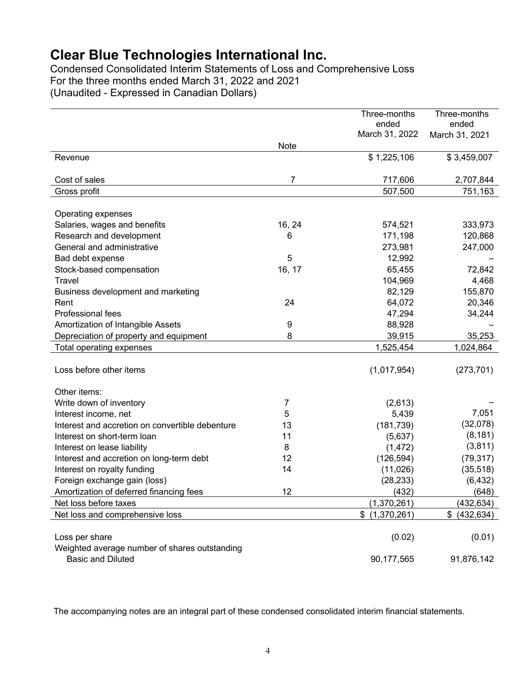Condensed Consolidated Interim Statements of Loss and Comprehensive Loss For the three months ended March 31, 2022 and 2021 (Unaudited - Expressed in Canadian Dollars)

|                                                 |                | Three-months      | Three-months     |
|-------------------------------------------------|----------------|-------------------|------------------|
|                                                 |                | ended             | ended            |
|                                                 |                | March 31, 2022    | March 31, 2021   |
|                                                 | <b>Note</b>    |                   |                  |
| Revenue                                         |                | \$1,225,106       | \$3,459,007      |
| Cost of sales                                   | 7              | 717,606           | 2,707,844        |
| Gross profit                                    |                | 507,500           | 751,163          |
|                                                 |                |                   |                  |
| Operating expenses                              |                |                   |                  |
| Salaries, wages and benefits                    | 16, 24         | 574,521           | 333,973          |
| Research and development                        | 6              | 171,198           | 120,868          |
| General and administrative                      |                | 273,981           | 247,000          |
| Bad debt expense                                | 5              | 12,992            |                  |
| Stock-based compensation                        | 16, 17         | 65,455            | 72,842           |
| Travel                                          |                | 104,969           | 4,468            |
| Business development and marketing              |                | 82,129            | 155,870          |
| Rent                                            | 24             | 64,072            | 20,346           |
| Professional fees                               |                | 47,294            | 34,244           |
| Amortization of Intangible Assets               | 9              | 88,928            |                  |
| Depreciation of property and equipment          | 8              | 39,915            | 35,253           |
| Total operating expenses                        |                | 1,525,454         | 1,024,864        |
|                                                 |                |                   |                  |
| Loss before other items                         |                | (1,017,954)       | (273, 701)       |
|                                                 |                |                   |                  |
| Other items:                                    |                |                   |                  |
| Write down of inventory                         | $\overline{7}$ | (2,613)           |                  |
| Interest income, net                            | 5              | 5,439             | 7,051            |
| Interest and accretion on convertible debenture | 13             | (181, 739)        | (32,078)         |
| Interest on short-term loan                     | 11             | (5,637)           | (8, 181)         |
| Interest on lease liability                     | 8              | (1, 472)          | (3,811)          |
| Interest and accretion on long-term debt        | 12             | (126, 594)        | (79, 317)        |
| Interest on royalty funding                     | 14             | (11,026)          | (35, 518)        |
| Foreign exchange gain (loss)                    |                | (28, 233)         | (6, 432)         |
| Amortization of deferred financing fees         | 12             | (432)             | (648)            |
| Net loss before taxes                           |                | (1,370,261)       | (432, 634)       |
| Net loss and comprehensive loss                 |                | \$<br>(1,370,261) | \$<br>(432, 634) |
| Loss per share                                  |                |                   |                  |
| Weighted average number of shares outstanding   |                | (0.02)            | (0.01)           |
| <b>Basic and Diluted</b>                        |                |                   |                  |
|                                                 |                | 90,177,565        | 91,876,142       |

The accompanying notes are an integral part of these condensed consolidated interim financial statements.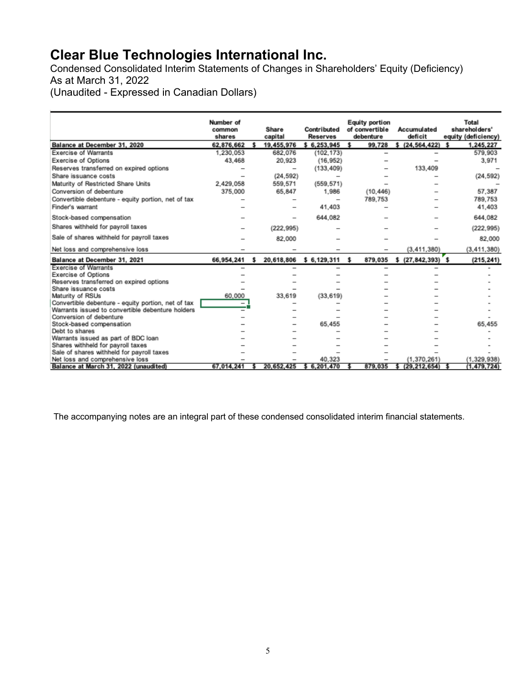Condensed Consolidated Interim Statements of Changes in Shareholders' Equity (Deficiency) As at March 31, 2022

(Unaudited - Expressed in Canadian Dollars)

|                                                                             | Number of<br>common<br>shares | Share<br>capital | Contributed<br><b>Reserves</b> | <b>Equity portion</b><br>of convertible<br>debenture | Accumulated<br>deficit | Total<br>shareholders'<br>equity (deficiency) |
|-----------------------------------------------------------------------------|-------------------------------|------------------|--------------------------------|------------------------------------------------------|------------------------|-----------------------------------------------|
| Balance at December 31, 2020                                                | 62,876,662                    | 19,455,976       | \$6,253,945                    | 99,728<br>\$                                         | \$(24, 564, 422)       | $\mathbf{S}$<br>1,245,227                     |
| Exercise of Warrants                                                        | 1,230,053                     | 682,076          | (102, 173)                     |                                                      |                        | 579,903                                       |
| Exercise of Options                                                         | 43,468                        | 20,923           | (16, 952)                      |                                                      |                        | 3,971                                         |
| Reserves transferred on expired options                                     |                               |                  | (133, 409)                     |                                                      | 133.409                |                                               |
| Share issuance costs                                                        |                               | (24, 592)        |                                |                                                      |                        | (24, 592)                                     |
| Maturity of Restricted Share Units                                          | 2.429.058                     | 559,571          | (559, 571)                     |                                                      |                        |                                               |
| Conversion of debenture                                                     | 375,000                       | 65,847           | 1,986                          | (10.446)                                             |                        | 57.387                                        |
| Convertible debenture - equity portion, net of tax                          |                               |                  |                                | 789.753                                              |                        | 789.753                                       |
| Finder's warrant                                                            |                               |                  | 41.403                         |                                                      |                        | 41,403                                        |
| Stock-based compensation                                                    |                               |                  | 644.082                        |                                                      |                        | 644.082                                       |
| Shares withheld for payroll taxes                                           |                               | (222.995)        |                                |                                                      |                        | (222.995)                                     |
| Sale of shares withheld for payroll taxes                                   |                               | 82.000           |                                |                                                      |                        | 82.000                                        |
| Net loss and comprehensive loss                                             |                               |                  |                                |                                                      | (3, 411, 380)          | (3, 411, 380)                                 |
| Balance at December 31, 2021                                                | 66,954,241                    | \$<br>20,618,806 | \$6,129,311                    | \$<br>879,035                                        | \$ (27,842,393) \$     | (215, 241)                                    |
| Exercise of Warrants                                                        |                               |                  |                                |                                                      |                        |                                               |
| Exercise of Options                                                         |                               |                  |                                |                                                      |                        |                                               |
| Reserves transferred on expired options                                     |                               |                  |                                |                                                      |                        |                                               |
| Share issuance costs                                                        |                               |                  |                                |                                                      |                        |                                               |
| Maturity of RSUs                                                            | 60,000                        | 33,619           | (33, 619)                      |                                                      |                        |                                               |
| Convertible debenture - equity portion, net of tax                          | $\overline{\phantom{0}}$      |                  |                                |                                                      |                        |                                               |
| Warrants issued to convertible debenture holders<br>Conversion of debenture |                               |                  |                                |                                                      |                        |                                               |
| Stock-based compensation                                                    |                               |                  | 65.455                         |                                                      |                        | 65.455                                        |
| Debt to shares                                                              |                               |                  |                                |                                                      |                        |                                               |
| Warrants issued as part of BDC loan                                         |                               |                  |                                |                                                      |                        |                                               |
| Shares withheld for payroll taxes                                           |                               |                  |                                |                                                      |                        |                                               |
| Sale of shares withheld for payroll taxes                                   |                               |                  |                                |                                                      |                        |                                               |
| Net loss and comprehensive loss                                             |                               |                  | 40.323                         |                                                      | (1.370, 261)           | (1.329.938)                                   |
| Balance at March 31, 2022 (unaudited)                                       | 67.014.241                    | 20.652.425       | \$6,201,470                    | 879.035                                              | (29.212.654)           | (1.479.724)                                   |

The accompanying notes are an integral part of these condensed consolidated interim financial statements.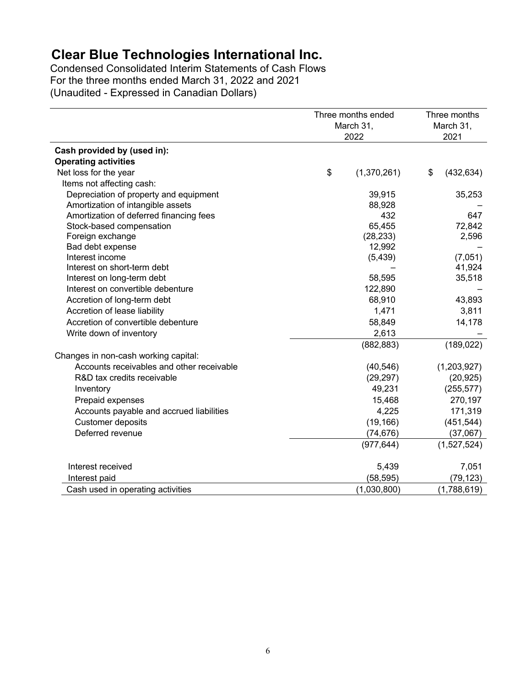Condensed Consolidated Interim Statements of Cash Flows For the three months ended March 31, 2022 and 2021 (Unaudited - Expressed in Canadian Dollars)

|                                           | Three months ended<br>March 31, |             | Three months<br>March 31, |             |
|-------------------------------------------|---------------------------------|-------------|---------------------------|-------------|
|                                           | 2022                            |             | 2021                      |             |
| Cash provided by (used in):               |                                 |             |                           |             |
| <b>Operating activities</b>               |                                 |             |                           |             |
| Net loss for the year                     | \$                              | (1,370,261) | \$                        | (432, 634)  |
| Items not affecting cash:                 |                                 |             |                           |             |
| Depreciation of property and equipment    |                                 | 39,915      |                           | 35,253      |
| Amortization of intangible assets         |                                 | 88,928      |                           |             |
| Amortization of deferred financing fees   |                                 | 432         |                           | 647         |
| Stock-based compensation                  |                                 | 65,455      |                           | 72,842      |
| Foreign exchange                          |                                 | (28, 233)   |                           | 2,596       |
| Bad debt expense                          |                                 | 12,992      |                           |             |
| Interest income                           |                                 | (5, 439)    |                           | (7,051)     |
| Interest on short-term debt               |                                 |             |                           | 41,924      |
| Interest on long-term debt                |                                 | 58,595      |                           | 35,518      |
| Interest on convertible debenture         |                                 | 122,890     |                           |             |
| Accretion of long-term debt               |                                 | 68,910      |                           | 43,893      |
| Accretion of lease liability              |                                 | 1,471       |                           | 3,811       |
| Accretion of convertible debenture        |                                 | 58,849      |                           | 14,178      |
| Write down of inventory                   |                                 | 2,613       |                           |             |
|                                           |                                 | (882, 883)  |                           | (189, 022)  |
| Changes in non-cash working capital:      |                                 |             |                           |             |
| Accounts receivables and other receivable |                                 | (40, 546)   |                           | (1,203,927) |
| R&D tax credits receivable                |                                 | (29, 297)   |                           | (20, 925)   |
| Inventory                                 |                                 | 49,231      |                           | (255, 577)  |
| Prepaid expenses                          |                                 | 15,468      |                           | 270,197     |
| Accounts payable and accrued liabilities  |                                 | 4,225       |                           | 171,319     |
| <b>Customer deposits</b>                  |                                 | (19, 166)   |                           | (451, 544)  |
| Deferred revenue                          |                                 | (74, 676)   |                           | (37,067)    |
|                                           |                                 | (977, 644)  |                           | (1,527,524) |
| Interest received                         |                                 | 5,439       |                           | 7,051       |
| Interest paid                             |                                 | (58, 595)   |                           | (79, 123)   |
| Cash used in operating activities         |                                 | (1,030,800) |                           | (1,788,619) |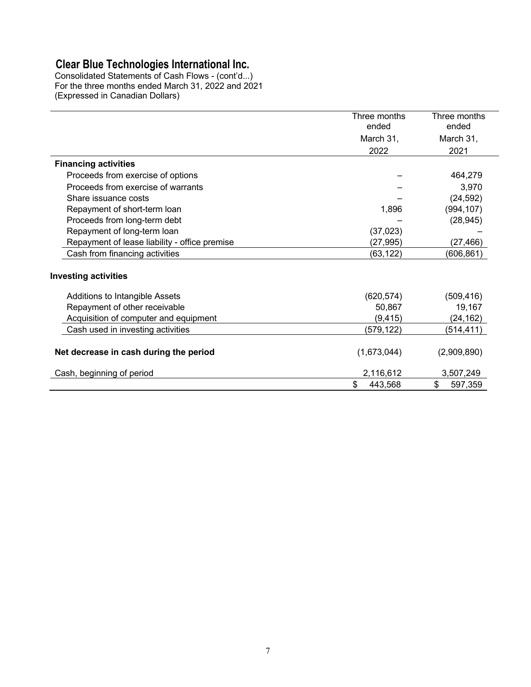Consolidated Statements of Cash Flows - (cont'd...) For the three months ended March 31, 2022 and 2021 (Expressed in Canadian Dollars)

|                                               | Three months<br>ended | Three months<br>ended |
|-----------------------------------------------|-----------------------|-----------------------|
|                                               | March 31,             | March 31,             |
|                                               | 2022                  | 2021                  |
| <b>Financing activities</b>                   |                       |                       |
| Proceeds from exercise of options             |                       | 464,279               |
| Proceeds from exercise of warrants            |                       | 3,970                 |
| Share issuance costs                          |                       | (24, 592)             |
| Repayment of short-term loan                  | 1,896                 | (994, 107)            |
| Proceeds from long-term debt                  |                       | (28, 945)             |
| Repayment of long-term loan                   | (37, 023)             |                       |
| Repayment of lease liability - office premise | (27, 995)             | (27, 466)             |
| Cash from financing activities                | (63,122)              | (606, 861)            |
| <b>Investing activities</b>                   |                       |                       |
| Additions to Intangible Assets                | (620, 574)            | (509, 416)            |
| Repayment of other receivable                 | 50,867                | 19,167                |
| Acquisition of computer and equipment         | (9, 415)              | (24, 162)             |
| Cash used in investing activities             | (579,122)             | (514, 411)            |
| Net decrease in cash during the period        | (1,673,044)           | (2,909,890)           |
| Cash, beginning of period                     | 2,116,612             | 3,507,249             |
|                                               | \$<br>443,568         | \$<br>597,359         |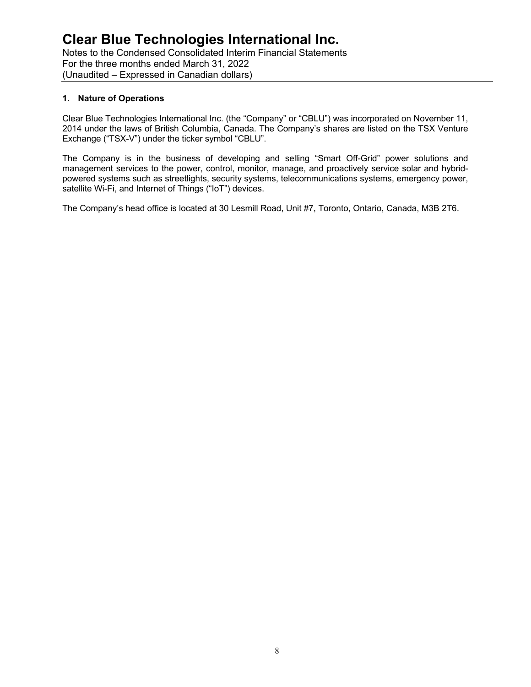Notes to the Condensed Consolidated Interim Financial Statements For the three months ended March 31, 2022 (Unaudited – Expressed in Canadian dollars)

# **1. Nature of Operations**

Clear Blue Technologies International Inc. (the "Company" or "CBLU") was incorporated on November 11, 2014 under the laws of British Columbia, Canada. The Company's shares are listed on the TSX Venture Exchange ("TSX-V") under the ticker symbol "CBLU".

The Company is in the business of developing and selling "Smart Off-Grid" power solutions and management services to the power, control, monitor, manage, and proactively service solar and hybridpowered systems such as streetlights, security systems, telecommunications systems, emergency power, satellite Wi-Fi, and Internet of Things ("IoT") devices.

The Company's head office is located at 30 Lesmill Road, Unit #7, Toronto, Ontario, Canada, M3B 2T6.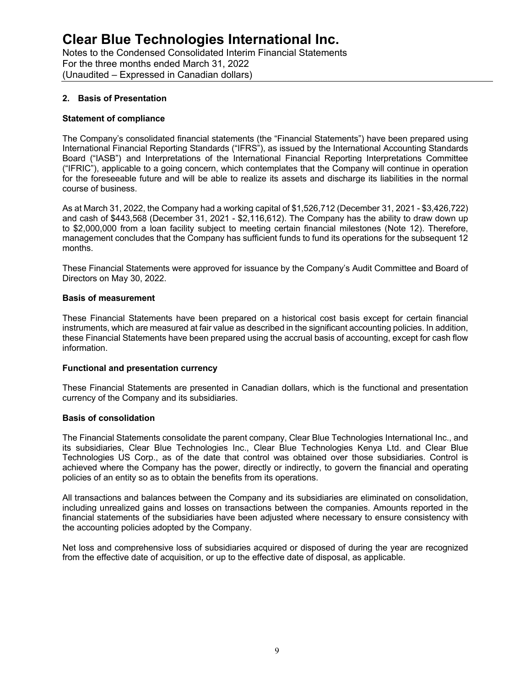Notes to the Condensed Consolidated Interim Financial Statements For the three months ended March 31, 2022 (Unaudited – Expressed in Canadian dollars)

### **2. Basis of Presentation**

#### **Statement of compliance**

The Company's consolidated financial statements (the "Financial Statements") have been prepared using International Financial Reporting Standards ("IFRS"), as issued by the International Accounting Standards Board ("IASB") and Interpretations of the International Financial Reporting Interpretations Committee ("IFRIC"), applicable to a going concern, which contemplates that the Company will continue in operation for the foreseeable future and will be able to realize its assets and discharge its liabilities in the normal course of business.

As at March 31, 2022, the Company had a working capital of \$1,526,712 (December 31, 2021 - \$3,426,722) and cash of \$443,568 (December 31, 2021 - \$2,116,612). The Company has the ability to draw down up to \$2,000,000 from a loan facility subject to meeting certain financial milestones (Note 12). Therefore, management concludes that the Company has sufficient funds to fund its operations for the subsequent 12 months.

These Financial Statements were approved for issuance by the Company's Audit Committee and Board of Directors on May 30, 2022.

#### **Basis of measurement**

These Financial Statements have been prepared on a historical cost basis except for certain financial instruments, which are measured at fair value as described in the significant accounting policies. In addition, these Financial Statements have been prepared using the accrual basis of accounting, except for cash flow information.

#### **Functional and presentation currency**

These Financial Statements are presented in Canadian dollars, which is the functional and presentation currency of the Company and its subsidiaries.

#### **Basis of consolidation**

The Financial Statements consolidate the parent company, Clear Blue Technologies International Inc., and its subsidiaries, Clear Blue Technologies Inc., Clear Blue Technologies Kenya Ltd. and Clear Blue Technologies US Corp., as of the date that control was obtained over those subsidiaries. Control is achieved where the Company has the power, directly or indirectly, to govern the financial and operating policies of an entity so as to obtain the benefits from its operations.

All transactions and balances between the Company and its subsidiaries are eliminated on consolidation, including unrealized gains and losses on transactions between the companies. Amounts reported in the financial statements of the subsidiaries have been adjusted where necessary to ensure consistency with the accounting policies adopted by the Company.

Net loss and comprehensive loss of subsidiaries acquired or disposed of during the year are recognized from the effective date of acquisition, or up to the effective date of disposal, as applicable.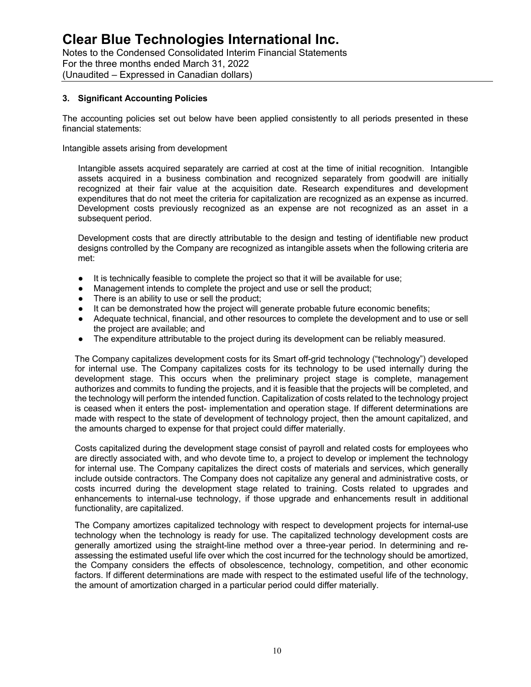Notes to the Condensed Consolidated Interim Financial Statements For the three months ended March 31, 2022 (Unaudited – Expressed in Canadian dollars)

# **3. Significant Accounting Policies**

The accounting policies set out below have been applied consistently to all periods presented in these financial statements:

Intangible assets arising from development

Intangible assets acquired separately are carried at cost at the time of initial recognition. Intangible assets acquired in a business combination and recognized separately from goodwill are initially recognized at their fair value at the acquisition date. Research expenditures and development expenditures that do not meet the criteria for capitalization are recognized as an expense as incurred. Development costs previously recognized as an expense are not recognized as an asset in a subsequent period.

Development costs that are directly attributable to the design and testing of identifiable new product designs controlled by the Company are recognized as intangible assets when the following criteria are met:

- It is technically feasible to complete the project so that it will be available for use;
- Management intends to complete the project and use or sell the product;
- There is an ability to use or sell the product;
- It can be demonstrated how the project will generate probable future economic benefits;
- Adequate technical, financial, and other resources to complete the development and to use or sell the project are available; and
- The expenditure attributable to the project during its development can be reliably measured.

The Company capitalizes development costs for its Smart off-grid technology ("technology") developed for internal use. The Company capitalizes costs for its technology to be used internally during the development stage. This occurs when the preliminary project stage is complete, management authorizes and commits to funding the projects, and it is feasible that the projects will be completed, and the technology will perform the intended function. Capitalization of costs related to the technology project is ceased when it enters the post- implementation and operation stage. If different determinations are made with respect to the state of development of technology project, then the amount capitalized, and the amounts charged to expense for that project could differ materially.

Costs capitalized during the development stage consist of payroll and related costs for employees who are directly associated with, and who devote time to, a project to develop or implement the technology for internal use. The Company capitalizes the direct costs of materials and services, which generally include outside contractors. The Company does not capitalize any general and administrative costs, or costs incurred during the development stage related to training. Costs related to upgrades and enhancements to internal-use technology, if those upgrade and enhancements result in additional functionality, are capitalized.

The Company amortizes capitalized technology with respect to development projects for internal-use technology when the technology is ready for use. The capitalized technology development costs are generally amortized using the straight-line method over a three-year period. In determining and reassessing the estimated useful life over which the cost incurred for the technology should be amortized, the Company considers the effects of obsolescence, technology, competition, and other economic factors. If different determinations are made with respect to the estimated useful life of the technology, the amount of amortization charged in a particular period could differ materially.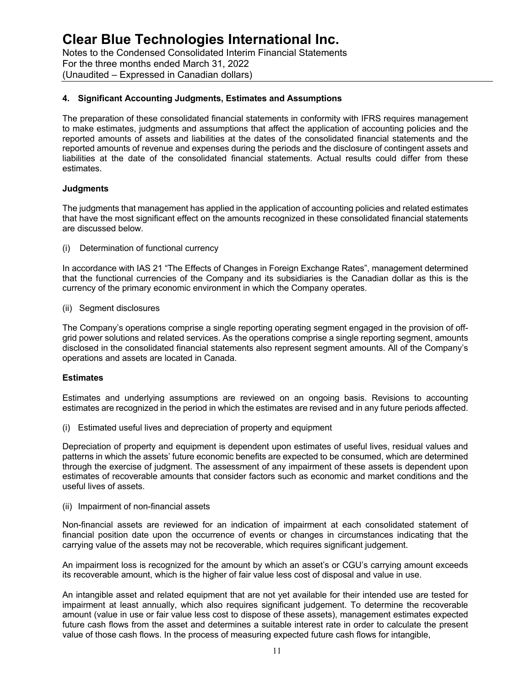Notes to the Condensed Consolidated Interim Financial Statements For the three months ended March 31, 2022 (Unaudited – Expressed in Canadian dollars)

# **4. Significant Accounting Judgments, Estimates and Assumptions**

The preparation of these consolidated financial statements in conformity with IFRS requires management to make estimates, judgments and assumptions that affect the application of accounting policies and the reported amounts of assets and liabilities at the dates of the consolidated financial statements and the reported amounts of revenue and expenses during the periods and the disclosure of contingent assets and liabilities at the date of the consolidated financial statements. Actual results could differ from these estimates.

#### **Judgments**

The judgments that management has applied in the application of accounting policies and related estimates that have the most significant effect on the amounts recognized in these consolidated financial statements are discussed below.

(i) Determination of functional currency

In accordance with IAS 21 "The Effects of Changes in Foreign Exchange Rates", management determined that the functional currencies of the Company and its subsidiaries is the Canadian dollar as this is the currency of the primary economic environment in which the Company operates.

(ii) Segment disclosures

The Company's operations comprise a single reporting operating segment engaged in the provision of offgrid power solutions and related services. As the operations comprise a single reporting segment, amounts disclosed in the consolidated financial statements also represent segment amounts. All of the Company's operations and assets are located in Canada.

#### **Estimates**

Estimates and underlying assumptions are reviewed on an ongoing basis. Revisions to accounting estimates are recognized in the period in which the estimates are revised and in any future periods affected.

(i) Estimated useful lives and depreciation of property and equipment

Depreciation of property and equipment is dependent upon estimates of useful lives, residual values and patterns in which the assets' future economic benefits are expected to be consumed, which are determined through the exercise of judgment. The assessment of any impairment of these assets is dependent upon estimates of recoverable amounts that consider factors such as economic and market conditions and the useful lives of assets.

(ii) Impairment of non-financial assets

Non-financial assets are reviewed for an indication of impairment at each consolidated statement of financial position date upon the occurrence of events or changes in circumstances indicating that the carrying value of the assets may not be recoverable, which requires significant judgement.

An impairment loss is recognized for the amount by which an asset's or CGU's carrying amount exceeds its recoverable amount, which is the higher of fair value less cost of disposal and value in use.

An intangible asset and related equipment that are not yet available for their intended use are tested for impairment at least annually, which also requires significant judgement. To determine the recoverable amount (value in use or fair value less cost to dispose of these assets), management estimates expected future cash flows from the asset and determines a suitable interest rate in order to calculate the present value of those cash flows. In the process of measuring expected future cash flows for intangible,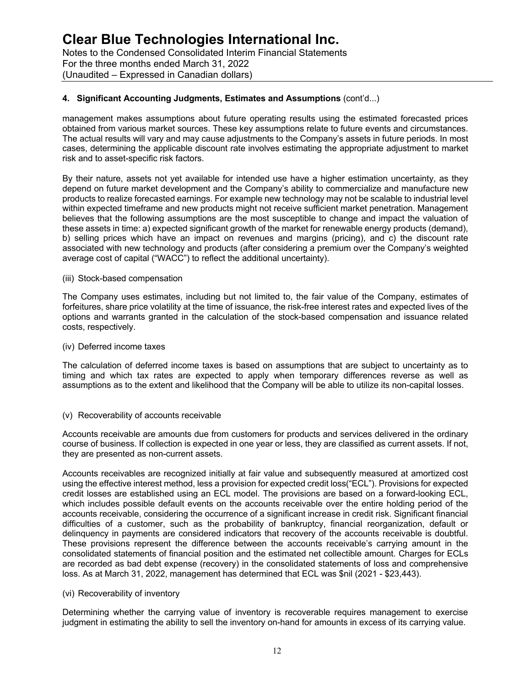Notes to the Condensed Consolidated Interim Financial Statements For the three months ended March 31, 2022 (Unaudited – Expressed in Canadian dollars)

# **4. Significant Accounting Judgments, Estimates and Assumptions** (cont'd...)

management makes assumptions about future operating results using the estimated forecasted prices obtained from various market sources. These key assumptions relate to future events and circumstances. The actual results will vary and may cause adjustments to the Company's assets in future periods. In most cases, determining the applicable discount rate involves estimating the appropriate adjustment to market risk and to asset-specific risk factors.

By their nature, assets not yet available for intended use have a higher estimation uncertainty, as they depend on future market development and the Company's ability to commercialize and manufacture new products to realize forecasted earnings. For example new technology may not be scalable to industrial level within expected timeframe and new products might not receive sufficient market penetration. Management believes that the following assumptions are the most susceptible to change and impact the valuation of these assets in time: a) expected significant growth of the market for renewable energy products (demand), b) selling prices which have an impact on revenues and margins (pricing), and c) the discount rate associated with new technology and products (after considering a premium over the Company's weighted average cost of capital ("WACC") to reflect the additional uncertainty).

#### (iii) Stock-based compensation

The Company uses estimates, including but not limited to, the fair value of the Company, estimates of forfeitures, share price volatility at the time of issuance, the risk-free interest rates and expected lives of the options and warrants granted in the calculation of the stock-based compensation and issuance related costs, respectively.

#### (iv) Deferred income taxes

The calculation of deferred income taxes is based on assumptions that are subject to uncertainty as to timing and which tax rates are expected to apply when temporary differences reverse as well as assumptions as to the extent and likelihood that the Company will be able to utilize its non-capital losses.

#### (v) Recoverability of accounts receivable

Accounts receivable are amounts due from customers for products and services delivered in the ordinary course of business. If collection is expected in one year or less, they are classified as current assets. If not, they are presented as non-current assets.

Accounts receivables are recognized initially at fair value and subsequently measured at amortized cost using the effective interest method, less a provision for expected credit loss("ECL"). Provisions for expected credit losses are established using an ECL model. The provisions are based on a forward-looking ECL, which includes possible default events on the accounts receivable over the entire holding period of the accounts receivable, considering the occurrence of a significant increase in credit risk. Significant financial difficulties of a customer, such as the probability of bankruptcy, financial reorganization, default or delinquency in payments are considered indicators that recovery of the accounts receivable is doubtful. These provisions represent the difference between the accounts receivable's carrying amount in the consolidated statements of financial position and the estimated net collectible amount. Charges for ECLs are recorded as bad debt expense (recovery) in the consolidated statements of loss and comprehensive loss. As at March 31, 2022, management has determined that ECL was \$nil (2021 - \$23,443).

#### (vi) Recoverability of inventory

Determining whether the carrying value of inventory is recoverable requires management to exercise judgment in estimating the ability to sell the inventory on-hand for amounts in excess of its carrying value.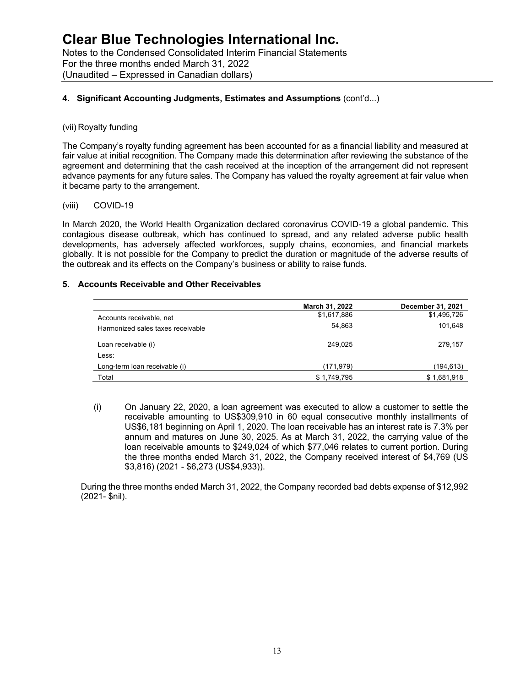# **4. Significant Accounting Judgments, Estimates and Assumptions** (cont'd...)

### (vii) Royalty funding

The Company's royalty funding agreement has been accounted for as a financial liability and measured at fair value at initial recognition. The Company made this determination after reviewing the substance of the agreement and determining that the cash received at the inception of the arrangement did not represent advance payments for any future sales. The Company has valued the royalty agreement at fair value when it became party to the arrangement.

#### (viii) COVID-19

In March 2020, the World Health Organization declared coronavirus COVID-19 a global pandemic. This contagious disease outbreak, which has continued to spread, and any related adverse public health developments, has adversely affected workforces, supply chains, economies, and financial markets globally. It is not possible for the Company to predict the duration or magnitude of the adverse results of the outbreak and its effects on the Company's business or ability to raise funds.

### **5. Accounts Receivable and Other Receivables**

|                                   | March 31, 2022 | <b>December 31, 2021</b> |
|-----------------------------------|----------------|--------------------------|
| Accounts receivable, net          | \$1,617,886    | \$1,495,726              |
| Harmonized sales taxes receivable | 54,863         | 101,648                  |
| Loan receivable (i)               | 249.025        | 279,157                  |
| Less:                             |                |                          |
| Long-term loan receivable (i)     | (171, 979)     | (194, 613)               |
| Total                             | \$1,749,795    | \$1,681,918              |

(i) On January 22, 2020, a loan agreement was executed to allow a customer to settle the receivable amounting to US\$309,910 in 60 equal consecutive monthly installments of US\$6,181 beginning on April 1, 2020. The loan receivable has an interest rate is 7.3% per annum and matures on June 30, 2025. As at March 31, 2022, the carrying value of the loan receivable amounts to \$249,024 of which \$77,046 relates to current portion. During the three months ended March 31, 2022, the Company received interest of \$4,769 (US \$3,816) (2021 - \$6,273 (US\$4,933)).

During the three months ended March 31, 2022, the Company recorded bad debts expense of \$12,992 (2021- \$nil).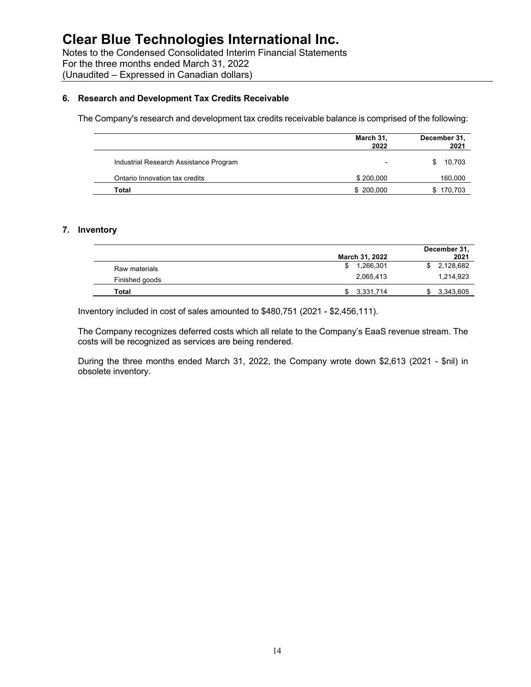Notes to the Condensed Consolidated Interim Financial Statements For the three months ended March 31, 2022 (Unaudited – Expressed in Canadian dollars)

### **6. Research and Development Tax Credits Receivable**

The Company's research and development tax credits receivable balance is comprised of the following:

|                                        | March 31,<br>2022        | December 31,<br>2021 |
|----------------------------------------|--------------------------|----------------------|
| Industrial Research Assistance Program | $\overline{\phantom{0}}$ | 10,703<br>\$         |
| Ontario Innovation tax credits         | \$200,000                | 160,000              |
| Total                                  | \$200,000                | \$170,703            |

### **7. Inventory**

|                |                | December 31, |
|----------------|----------------|--------------|
|                | March 31, 2022 | 2021         |
| Raw materials  | 1.266.301      | \$2,128,682  |
| Finished goods | 2,065,413      | 1.214.923    |
| Total          | 3,331,714      | 3,343,605    |

Inventory included in cost of sales amounted to \$480,751 (2021 - \$2,456,111).

The Company recognizes deferred costs which all relate to the Company's EaaS revenue stream. The costs will be recognized as services are being rendered.

During the three months ended March 31, 2022, the Company wrote down \$2,613 (2021 - \$nil) in obsolete inventory.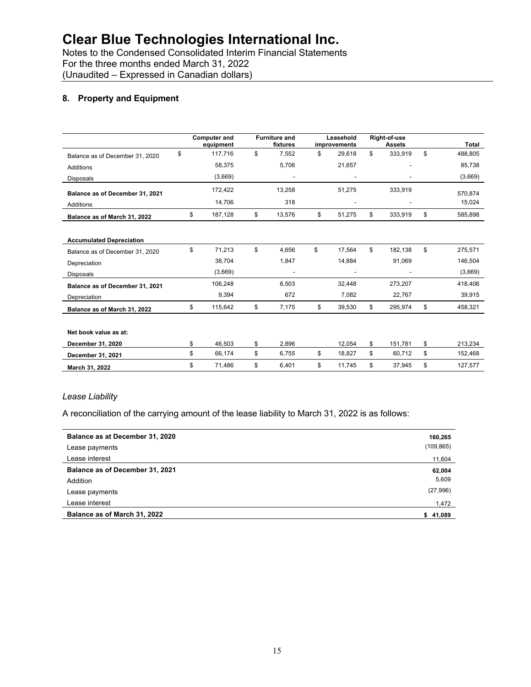Notes to the Condensed Consolidated Interim Financial Statements For the three months ended March 31, 2022 (Unaudited – Expressed in Canadian dollars)

# **8. Property and Equipment**

|                                 | <b>Computer and</b><br>equipment | <b>Furniture and</b><br>fixtures | Leasehold<br>improvements | Right-of-use<br><b>Assets</b> | Total         |
|---------------------------------|----------------------------------|----------------------------------|---------------------------|-------------------------------|---------------|
| Balance as of December 31, 2020 | \$<br>117,716                    | \$<br>7,552                      | \$<br>29,618              | \$<br>333,919                 | \$<br>488,805 |
| <b>Additions</b>                | 58,375                           | 5,706                            | 21,657                    |                               | 85,738        |
| <b>Disposals</b>                | (3,669)                          |                                  |                           |                               | (3,669)       |
| Balance as of December 31, 2021 | 172,422                          | 13,258                           | 51,275                    | 333,919                       | 570,874       |
| <b>Additions</b>                | 14,706                           | 318                              |                           |                               | 15,024        |
| Balance as of March 31, 2022    | \$<br>187,128                    | \$<br>13,576                     | \$<br>51,275              | \$<br>333,919                 | \$<br>585,898 |
|                                 |                                  |                                  |                           |                               |               |
| <b>Accumulated Depreciation</b> |                                  |                                  |                           |                               |               |
| Balance as of December 31, 2020 | \$<br>71,213                     | \$<br>4.656                      | \$<br>17,564              | \$<br>182.138                 | \$<br>275,571 |
| Depreciation                    | 38,704                           | 1,847                            | 14,884                    | 91,069                        | 146,504       |
| <b>Disposals</b>                | (3,669)                          |                                  |                           |                               | (3,669)       |
| Balance as of December 31, 2021 | 106,248                          | 6,503                            | 32,448                    | 273,207                       | 418,406       |
| Depreciation                    | 9,394                            | 672                              | 7,082                     | 22,767                        | 39,915        |
| Balance as of March 31, 2022    | \$<br>115,642                    | \$<br>7,175                      | \$<br>39,530              | \$<br>295,974                 | \$<br>458,321 |
|                                 |                                  |                                  |                           |                               |               |
| Net book value as at:           |                                  |                                  |                           |                               |               |
| December 31, 2020               | \$<br>46,503                     | \$<br>2,896                      | 12,054                    | \$<br>151.781                 | \$<br>213,234 |
| December 31, 2021               | \$<br>66,174                     | \$<br>6,755                      | \$<br>18,827              | \$<br>60,712                  | \$<br>152,468 |
| March 31, 2022                  | \$<br>71,486                     | \$<br>6,401                      | \$<br>11,745              | \$<br>37,945                  | \$<br>127,577 |

#### *Lease Liability*

A reconciliation of the carrying amount of the lease liability to March 31, 2022 is as follows:

| Balance as at December 31, 2020 | 160,265    |
|---------------------------------|------------|
| Lease payments                  | (109, 865) |
| Lease interest                  | 11,604     |
| Balance as of December 31, 2021 | 62,004     |
| Addition                        | 5,609      |
| Lease payments                  | (27, 996)  |
| Lease interest                  | 1,472      |
| Balance as of March 31, 2022    | \$41,089   |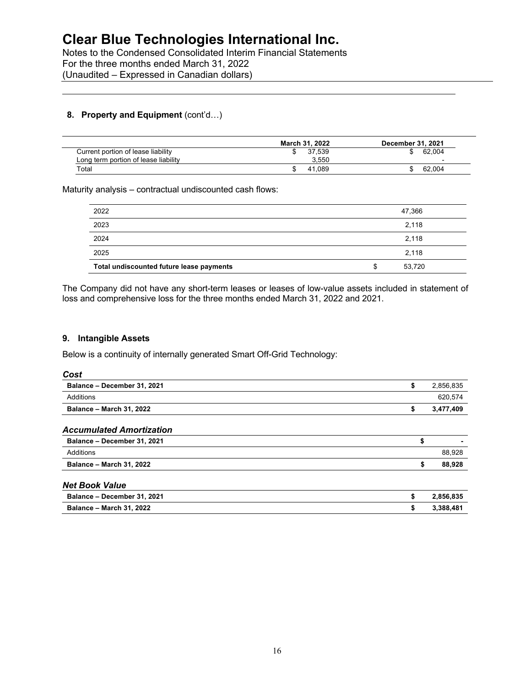Notes to the Condensed Consolidated Interim Financial Statements For the three months ended March 31, 2022 (Unaudited – Expressed in Canadian dollars)

# **8. Property and Equipment** (cont'd...)

|                                      | March 31, 2022 | <b>December 31, 2021</b> |
|--------------------------------------|----------------|--------------------------|
| Current portion of lease liability   | 37.539         | 62.004                   |
| Long term portion of lease liability | 3.550          | $\overline{\phantom{0}}$ |
| $\tau$ otal                          | 41.089         | 62.004                   |

### Maturity analysis – contractual undiscounted cash flows:

| 2022                                     | 47,366       |
|------------------------------------------|--------------|
| 2023                                     | 2,118        |
| 2024                                     | 2,118        |
| 2025                                     | 2,118        |
| Total undiscounted future lease payments | \$<br>53,720 |

The Company did not have any short-term leases or leases of low-value assets included in statement of loss and comprehensive loss for the three months ended March 31, 2022 and 2021.

# **9. Intangible Assets**

Below is a continuity of internally generated Smart Off-Grid Technology:

| ×<br>۰.<br>۰,<br>. .<br>×.<br>. .<br>۰.<br>۰.<br>×<br>۰. |
|----------------------------------------------------------|
|----------------------------------------------------------|

| \$<br>2,856,835 |
|-----------------|
| 620,574         |
| \$<br>3,477,409 |
|                 |
| \$              |
| 88,928          |
| \$<br>88,928    |
|                 |
| \$<br>2,856,835 |
| \$<br>3,388,481 |
|                 |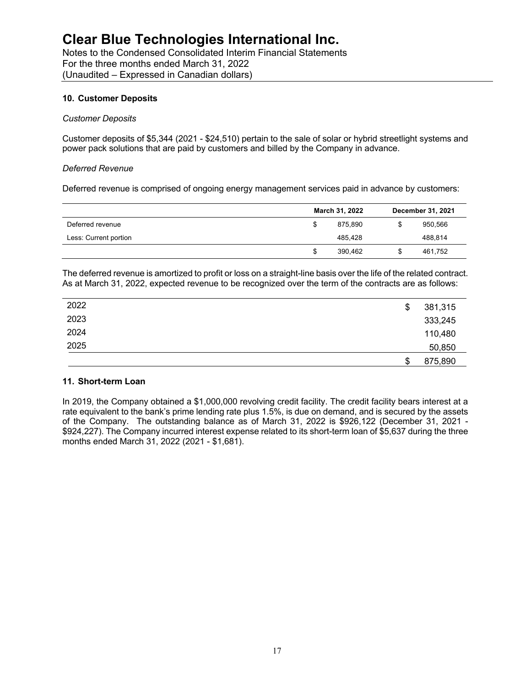Notes to the Condensed Consolidated Interim Financial Statements For the three months ended March 31, 2022 (Unaudited – Expressed in Canadian dollars)

### **10. Customer Deposits**

#### *Customer Deposits*

Customer deposits of \$5,344 (2021 - \$24,510) pertain to the sale of solar or hybrid streetlight systems and power pack solutions that are paid by customers and billed by the Company in advance.

#### *Deferred Revenue*

Deferred revenue is comprised of ongoing energy management services paid in advance by customers:

|                       |   | March 31, 2022 | <b>December 31, 2021</b> |
|-----------------------|---|----------------|--------------------------|
| Deferred revenue      |   | 875.890        | 950,566                  |
| Less: Current portion |   | 485.428        | 488,814                  |
|                       | S | 390.462        | 461,752                  |

The deferred revenue is amortized to profit or loss on a straight-line basis over the life of the related contract. As at March 31, 2022, expected revenue to be recognized over the term of the contracts are as follows:

| 2022 | \$ | 381,315 |
|------|----|---------|
| 2023 |    | 333,245 |
| 2024 |    | 110,480 |
| 2025 |    | 50,850  |
|      | S  | 875,890 |

#### **11. Short-term Loan**

In 2019, the Company obtained a \$1,000,000 revolving credit facility. The credit facility bears interest at a rate equivalent to the bank's prime lending rate plus 1.5%, is due on demand, and is secured by the assets of the Company. The outstanding balance as of March 31, 2022 is \$926,122 (December 31, 2021 - \$924,227). The Company incurred interest expense related to its short-term loan of \$5,637 during the three months ended March 31, 2022 (2021 - \$1,681).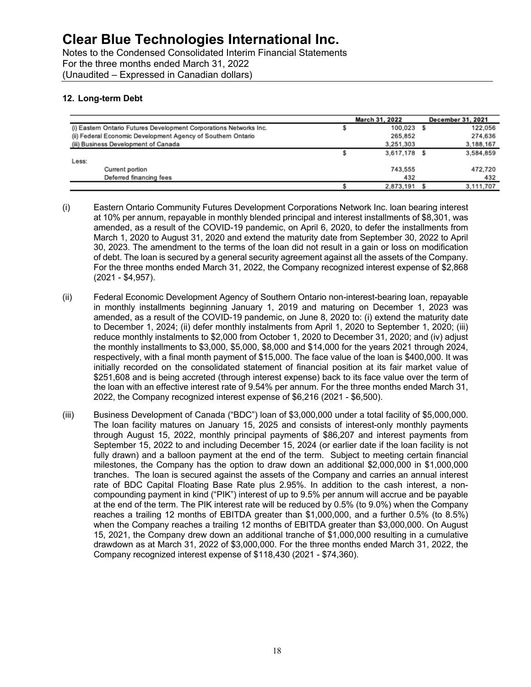Notes to the Condensed Consolidated Interim Financial Statements For the three months ended March 31, 2022 (Unaudited – Expressed in Canadian dollars)

# **12. Long-term Debt**

|                                                                    | March 31, 2022 | <b>December 31, 2021</b> |
|--------------------------------------------------------------------|----------------|--------------------------|
| (i) Eastern Ontario Futures Development Corporations Networks Inc. | 100.023 \$     | 122,056                  |
| (ii) Federal Economic Development Agency of Southern Ontario       | 265,852        | 274.636                  |
| (iii) Business Development of Canada                               | 3.251.303      | 3,188,167                |
|                                                                    | 3.617.178 \$   | 3,584,859                |
| Less:                                                              |                |                          |
| Current portion                                                    | 743,555        | 472,720                  |
| Deferred financing fees                                            | 432            | 432                      |
|                                                                    | 2,873,191 \$   | 3.111.707                |

- (i) Eastern Ontario Community Futures Development Corporations Network Inc. loan bearing interest at 10% per annum, repayable in monthly blended principal and interest installments of \$8,301, was amended, as a result of the COVID-19 pandemic, on April 6, 2020, to defer the installments from March 1, 2020 to August 31, 2020 and extend the maturity date from September 30, 2022 to April 30, 2023. The amendment to the terms of the loan did not result in a gain or loss on modification of debt. The loan is secured by a general security agreement against all the assets of the Company. For the three months ended March 31, 2022, the Company recognized interest expense of \$2,868 (2021 - \$4,957).
- (ii) Federal Economic Development Agency of Southern Ontario non-interest-bearing loan, repayable in monthly installments beginning January 1, 2019 and maturing on December 1, 2023 was amended, as a result of the COVID-19 pandemic, on June 8, 2020 to: (i) extend the maturity date to December 1, 2024; (ii) defer monthly instalments from April 1, 2020 to September 1, 2020; (iii) reduce monthly instalments to \$2,000 from October 1, 2020 to December 31, 2020; and (iv) adjust the monthly installments to \$3,000, \$5,000, \$8,000 and \$14,000 for the years 2021 through 2024, respectively, with a final month payment of \$15,000. The face value of the loan is \$400,000. It was initially recorded on the consolidated statement of financial position at its fair market value of \$251,608 and is being accreted (through interest expense) back to its face value over the term of the loan with an effective interest rate of 9.54% per annum. For the three months ended March 31, 2022, the Company recognized interest expense of \$6,216 (2021 - \$6,500).
- (iii) Business Development of Canada ("BDC") loan of \$3,000,000 under a total facility of \$5,000,000. The loan facility matures on January 15, 2025 and consists of interest-only monthly payments through August 15, 2022, monthly principal payments of \$86,207 and interest payments from September 15, 2022 to and including December 15, 2024 (or earlier date if the loan facility is not fully drawn) and a balloon payment at the end of the term. Subject to meeting certain financial milestones, the Company has the option to draw down an additional \$2,000,000 in \$1,000,000 tranches. The loan is secured against the assets of the Company and carries an annual interest rate of BDC Capital Floating Base Rate plus 2.95%. In addition to the cash interest, a noncompounding payment in kind ("PIK") interest of up to 9.5% per annum will accrue and be payable at the end of the term. The PIK interest rate will be reduced by 0.5% (to 9.0%) when the Company reaches a trailing 12 months of EBITDA greater than \$1,000,000, and a further 0.5% (to 8.5%) when the Company reaches a trailing 12 months of EBITDA greater than \$3,000,000. On August 15, 2021, the Company drew down an additional tranche of \$1,000,000 resulting in a cumulative drawdown as at March 31, 2022 of \$3,000,000. For the three months ended March 31, 2022, the Company recognized interest expense of \$118,430 (2021 - \$74,360).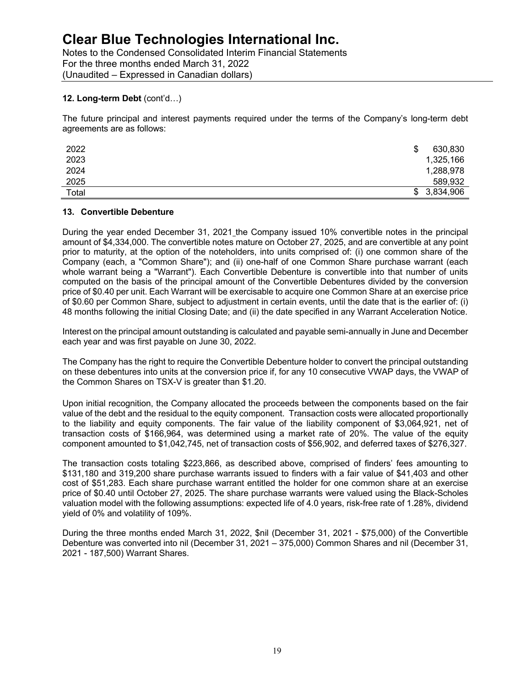Notes to the Condensed Consolidated Interim Financial Statements For the three months ended March 31, 2022 (Unaudited – Expressed in Canadian dollars)

# **12. Long-term Debt** (cont'd…)

The future principal and interest payments required under the terms of the Company's long-term debt agreements are as follows:

| 2022  | 630,830     |
|-------|-------------|
| 2023  | 1,325,166   |
| 2024  | 1,288,978   |
| 2025  | 589,932     |
| Total | \$3,834,906 |

# **13. Convertible Debenture**

During the year ended December 31, 2021 the Company issued 10% convertible notes in the principal amount of \$4,334,000. The convertible notes mature on October 27, 2025, and are convertible at any point prior to maturity, at the option of the noteholders, into units comprised of: (i) one common share of the Company (each, a "Common Share"); and (ii) one-half of one Common Share purchase warrant (each whole warrant being a "Warrant"). Each Convertible Debenture is convertible into that number of units computed on the basis of the principal amount of the Convertible Debentures divided by the conversion price of \$0.40 per unit. Each Warrant will be exercisable to acquire one Common Share at an exercise price of \$0.60 per Common Share, subject to adjustment in certain events, until the date that is the earlier of: (i) 48 months following the initial Closing Date; and (ii) the date specified in any Warrant Acceleration Notice.

Interest on the principal amount outstanding is calculated and payable semi-annually in June and December each year and was first payable on June 30, 2022.

The Company has the right to require the Convertible Debenture holder to convert the principal outstanding on these debentures into units at the conversion price if, for any 10 consecutive VWAP days, the VWAP of the Common Shares on TSX-V is greater than \$1.20.

Upon initial recognition, the Company allocated the proceeds between the components based on the fair value of the debt and the residual to the equity component. Transaction costs were allocated proportionally to the liability and equity components. The fair value of the liability component of \$3,064,921, net of transaction costs of \$166,964, was determined using a market rate of 20%. The value of the equity component amounted to \$1,042,745, net of transaction costs of \$56,902, and deferred taxes of \$276,327.

The transaction costs totaling \$223,866, as described above, comprised of finders' fees amounting to \$131,180 and 319,200 share purchase warrants issued to finders with a fair value of \$41,403 and other cost of \$51,283. Each share purchase warrant entitled the holder for one common share at an exercise price of \$0.40 until October 27, 2025. The share purchase warrants were valued using the Black-Scholes valuation model with the following assumptions: expected life of 4.0 years, risk-free rate of 1.28%, dividend yield of 0% and volatility of 109%.

During the three months ended March 31, 2022, \$nil (December 31, 2021 - \$75,000) of the Convertible Debenture was converted into nil (December 31, 2021 – 375,000) Common Shares and nil (December 31, 2021 - 187,500) Warrant Shares.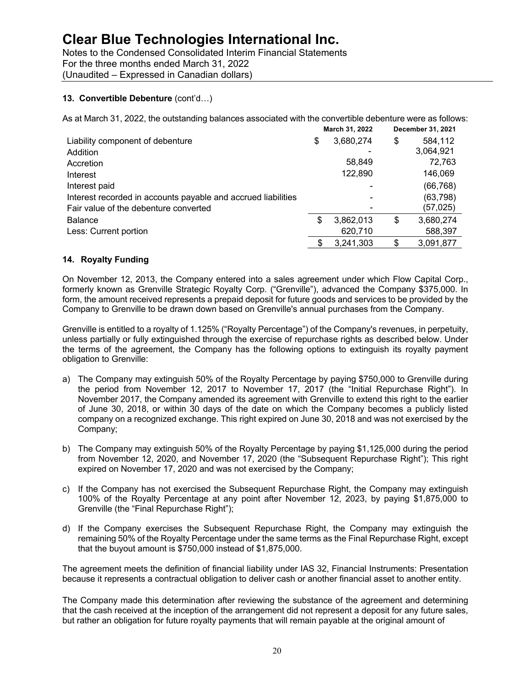Notes to the Condensed Consolidated Interim Financial Statements For the three months ended March 31, 2022 (Unaudited – Expressed in Canadian dollars)

# **13. Convertible Debenture** (cont'd…)

As at March 31, 2022, the outstanding balances associated with the convertible debenture were as follows:

|                                                               | March 31, 2022  | December 31, 2021 |
|---------------------------------------------------------------|-----------------|-------------------|
| Liability component of debenture                              | \$<br>3,680,274 | \$<br>584,112     |
| Addition                                                      |                 | 3,064,921         |
| Accretion                                                     | 58,849          | 72,763            |
| Interest                                                      | 122,890         | 146,069           |
| Interest paid                                                 |                 | (66, 768)         |
| Interest recorded in accounts payable and accrued liabilities |                 | (63, 798)         |
| Fair value of the debenture converted                         |                 | (57,025)          |
| <b>Balance</b>                                                | \$<br>3,862,013 | \$<br>3,680,274   |
| Less: Current portion                                         | 620,710         | 588,397           |
|                                                               | \$<br>3.241.303 | \$<br>3,091,877   |

# **14. Royalty Funding**

On November 12, 2013, the Company entered into a sales agreement under which Flow Capital Corp., formerly known as Grenville Strategic Royalty Corp. ("Grenville"), advanced the Company \$375,000. In form, the amount received represents a prepaid deposit for future goods and services to be provided by the Company to Grenville to be drawn down based on Grenville's annual purchases from the Company.

Grenville is entitled to a royalty of 1.125% ("Royalty Percentage") of the Company's revenues, in perpetuity, unless partially or fully extinguished through the exercise of repurchase rights as described below. Under the terms of the agreement, the Company has the following options to extinguish its royalty payment obligation to Grenville:

- a) The Company may extinguish 50% of the Royalty Percentage by paying \$750,000 to Grenville during the period from November 12, 2017 to November 17, 2017 (the "Initial Repurchase Right"). In November 2017, the Company amended its agreement with Grenville to extend this right to the earlier of June 30, 2018, or within 30 days of the date on which the Company becomes a publicly listed company on a recognized exchange. This right expired on June 30, 2018 and was not exercised by the Company;
- b) The Company may extinguish 50% of the Royalty Percentage by paying \$1,125,000 during the period from November 12, 2020, and November 17, 2020 (the "Subsequent Repurchase Right"); This right expired on November 17, 2020 and was not exercised by the Company;
- c) If the Company has not exercised the Subsequent Repurchase Right, the Company may extinguish 100% of the Royalty Percentage at any point after November 12, 2023, by paying \$1,875,000 to Grenville (the "Final Repurchase Right");
- d) If the Company exercises the Subsequent Repurchase Right, the Company may extinguish the remaining 50% of the Royalty Percentage under the same terms as the Final Repurchase Right, except that the buyout amount is \$750,000 instead of \$1,875,000.

The agreement meets the definition of financial liability under IAS 32, Financial Instruments: Presentation because it represents a contractual obligation to deliver cash or another financial asset to another entity.

The Company made this determination after reviewing the substance of the agreement and determining that the cash received at the inception of the arrangement did not represent a deposit for any future sales, but rather an obligation for future royalty payments that will remain payable at the original amount of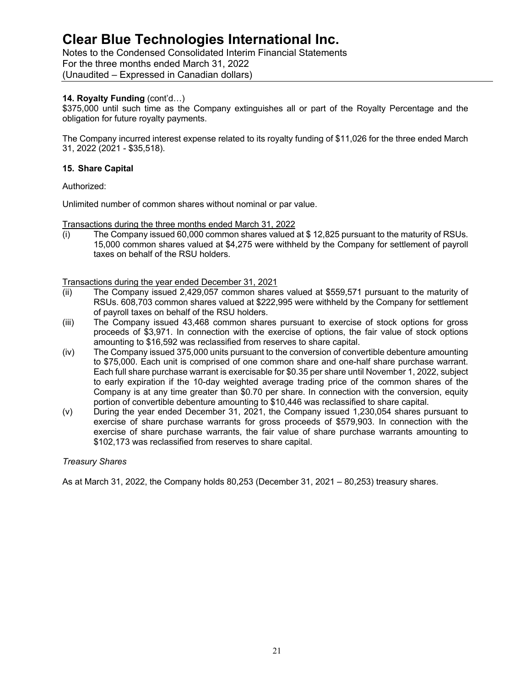Notes to the Condensed Consolidated Interim Financial Statements For the three months ended March 31, 2022 (Unaudited – Expressed in Canadian dollars)

# **14. Royalty Funding** (cont'd…)

\$375,000 until such time as the Company extinguishes all or part of the Royalty Percentage and the obligation for future royalty payments.

The Company incurred interest expense related to its royalty funding of \$11,026 for the three ended March 31, 2022 (2021 - \$35,518).

# **15. Share Capital**

Authorized:

Unlimited number of common shares without nominal or par value.

Transactions during the three months ended March 31, 2022

(i) The Company issued 60,000 common shares valued at \$ 12,825 pursuant to the maturity of RSUs. 15,000 common shares valued at \$4,275 were withheld by the Company for settlement of payroll taxes on behalf of the RSU holders.

Transactions during the year ended December 31, 2021

- (ii) The Company issued 2,429,057 common shares valued at \$559,571 pursuant to the maturity of RSUs. 608,703 common shares valued at \$222,995 were withheld by the Company for settlement of payroll taxes on behalf of the RSU holders.
- (iii) The Company issued 43,468 common shares pursuant to exercise of stock options for gross proceeds of \$3,971. In connection with the exercise of options, the fair value of stock options amounting to \$16,592 was reclassified from reserves to share capital.
- (iv) The Company issued 375,000 units pursuant to the conversion of convertible debenture amounting to \$75,000. Each unit is comprised of one common share and one-half share purchase warrant. Each full share purchase warrant is exercisable for \$0.35 per share until November 1, 2022, subject to early expiration if the 10-day weighted average trading price of the common shares of the Company is at any time greater than \$0.70 per share. In connection with the conversion, equity portion of convertible debenture amounting to \$10,446 was reclassified to share capital.
- (v) During the year ended December 31, 2021, the Company issued 1,230,054 shares pursuant to exercise of share purchase warrants for gross proceeds of \$579,903. In connection with the exercise of share purchase warrants, the fair value of share purchase warrants amounting to \$102,173 was reclassified from reserves to share capital.

# *Treasury Shares*

As at March 31, 2022, the Company holds 80,253 (December 31, 2021 – 80,253) treasury shares.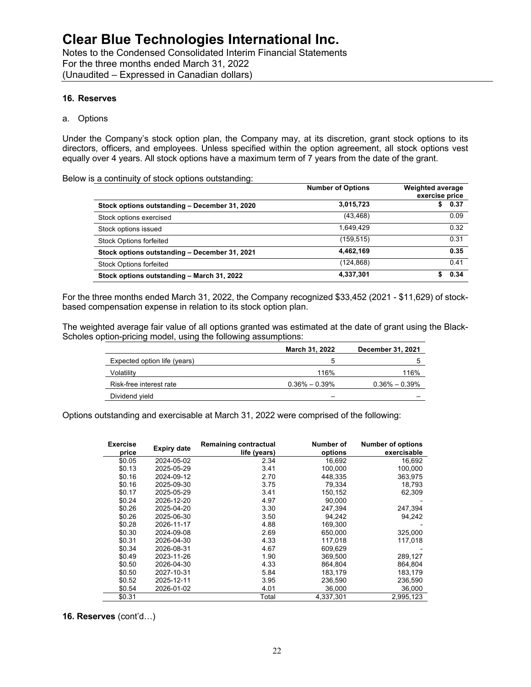Notes to the Condensed Consolidated Interim Financial Statements For the three months ended March 31, 2022 (Unaudited – Expressed in Canadian dollars)

#### **16. Reserves**

#### a. Options

Under the Company's stock option plan, the Company may, at its discretion, grant stock options to its directors, officers, and employees. Unless specified within the option agreement, all stock options vest equally over 4 years. All stock options have a maximum term of 7 years from the date of the grant.

Below is a continuity of stock options outstanding:

|                                               | <b>Number of Options</b> | <b>Weighted average</b><br>exercise price |
|-----------------------------------------------|--------------------------|-------------------------------------------|
| Stock options outstanding - December 31, 2020 | 3,015,723                | 0.37                                      |
| Stock options exercised                       | (43, 468)                | 0.09                                      |
| Stock options issued                          | 1.649.429                | 0.32                                      |
| <b>Stock Options forfeited</b>                | (159, 515)               | 0.31                                      |
| Stock options outstanding - December 31, 2021 | 4.462.169                | 0.35                                      |
| <b>Stock Options forfeited</b>                | (124,868)                | 0.41                                      |
| Stock options outstanding - March 31, 2022    | 4,337,301                | 0.34                                      |

For the three months ended March 31, 2022, the Company recognized \$33,452 (2021 - \$11,629) of stockbased compensation expense in relation to its stock option plan.

The weighted average fair value of all options granted was estimated at the date of grant using the Black-Scholes option-pricing model, using the following assumptions:

|                              | March 31, 2022    | <b>December 31, 2021</b> |
|------------------------------|-------------------|--------------------------|
| Expected option life (years) |                   |                          |
| Volatilitv                   | 116%              | 116%                     |
| Risk-free interest rate      | $0.36\% - 0.39\%$ | $0.36\% - 0.39\%$        |
| Dividend yield               |                   |                          |

Options outstanding and exercisable at March 31, 2022 were comprised of the following:

| <b>Exercise</b><br>price | <b>Expiry date</b> | <b>Remaining contractual</b><br>life (years) | Number of<br>options | <b>Number of options</b><br>exercisable |
|--------------------------|--------------------|----------------------------------------------|----------------------|-----------------------------------------|
| \$0.05                   | 2024-05-02         | 2.34                                         | 16,692               | 16,692                                  |
| \$0.13                   | 2025-05-29         | 3.41                                         | 100,000              | 100,000                                 |
| \$0.16                   | 2024-09-12         | 2.70                                         | 448,335              | 363,975                                 |
| \$0.16                   | 2025-09-30         | 3.75                                         | 79,334               | 18,793                                  |
| \$0.17                   | 2025-05-29         | 3.41                                         | 150,152              | 62,309                                  |
| \$0.24                   | 2026-12-20         | 4.97                                         | 90.000               |                                         |
| \$0.26                   | 2025-04-20         | 3.30                                         | 247,394              | 247,394                                 |
| \$0.26                   | 2025-06-30         | 3.50                                         | 94.242               | 94,242                                  |
| \$0.28                   | 2026-11-17         | 4.88                                         | 169,300              |                                         |
| \$0.30                   | 2024-09-08         | 2.69                                         | 650,000              | 325,000                                 |
| \$0.31                   | 2026-04-30         | 4.33                                         | 117,018              | 117,018                                 |
| \$0.34                   | 2026-08-31         | 4.67                                         | 609.629              |                                         |
| \$0.49                   | 2023-11-26         | 1.90                                         | 369,500              | 289,127                                 |
| \$0.50                   | 2026-04-30         | 4.33                                         | 864,804              | 864,804                                 |
| \$0.50                   | 2027-10-31         | 5.84                                         | 183,179              | 183,179                                 |
| \$0.52                   | 2025-12-11         | 3.95                                         | 236,590              | 236,590                                 |
| \$0.54                   | 2026-01-02         | 4.01                                         | 36,000               | 36,000                                  |
| \$0.31                   |                    | Total                                        | 4,337,301            | 2,995,123                               |

**16. Reserves** (cont'd…)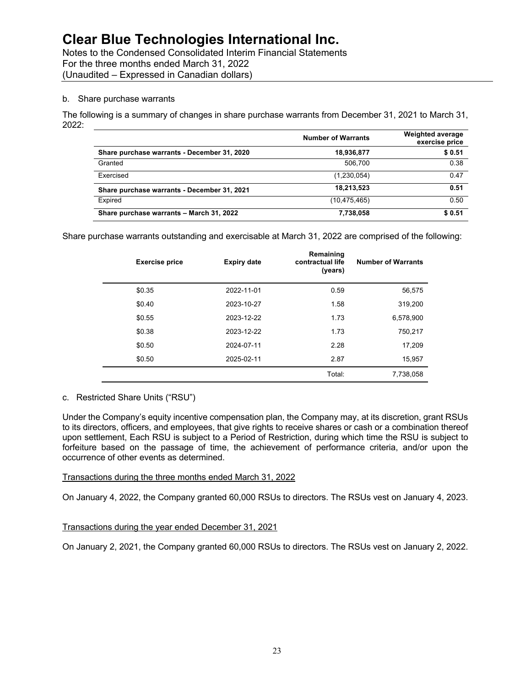Notes to the Condensed Consolidated Interim Financial Statements For the three months ended March 31, 2022 (Unaudited – Expressed in Canadian dollars)

#### b. Share purchase warrants

The following is a summary of changes in share purchase warrants from December 31, 2021 to March 31, 2022:

|                                             | <b>Number of Warrants</b> | <b>Weighted average</b><br>exercise price |
|---------------------------------------------|---------------------------|-------------------------------------------|
| Share purchase warrants - December 31, 2020 | 18,936,877                | \$0.51                                    |
| Granted                                     | 506.700                   | 0.38                                      |
| Exercised                                   | (1,230,054)               | 0.47                                      |
| Share purchase warrants - December 31, 2021 | 18,213,523                | 0.51                                      |
| Expired                                     | (10, 475, 465)            | 0.50                                      |
| Share purchase warrants - March 31, 2022    | 7,738,058                 | \$0.51                                    |

Share purchase warrants outstanding and exercisable at March 31, 2022 are comprised of the following:

| <b>Exercise price</b> | <b>Expiry date</b> | Remaining<br>contractual life<br>(years) | <b>Number of Warrants</b> |
|-----------------------|--------------------|------------------------------------------|---------------------------|
| \$0.35                | 2022-11-01         | 0.59                                     | 56,575                    |
| \$0.40                | 2023-10-27         | 1.58                                     | 319,200                   |
| \$0.55                | 2023-12-22         | 1.73                                     | 6,578,900                 |
| \$0.38                | 2023-12-22         | 1.73                                     | 750,217                   |
| \$0.50                | 2024-07-11         | 2.28                                     | 17,209                    |
| \$0.50                | 2025-02-11         | 2.87                                     | 15,957                    |
|                       |                    | Total:                                   | 7,738,058                 |

#### c. Restricted Share Units ("RSU")

Under the Company's equity incentive compensation plan, the Company may, at its discretion, grant RSUs to its directors, officers, and employees, that give rights to receive shares or cash or a combination thereof upon settlement, Each RSU is subject to a Period of Restriction, during which time the RSU is subject to forfeiture based on the passage of time, the achievement of performance criteria, and/or upon the occurrence of other events as determined.

# Transactions during the three months ended March 31, 2022

On January 4, 2022, the Company granted 60,000 RSUs to directors. The RSUs vest on January 4, 2023.

# Transactions during the year ended December 31, 2021

On January 2, 2021, the Company granted 60,000 RSUs to directors. The RSUs vest on January 2, 2022.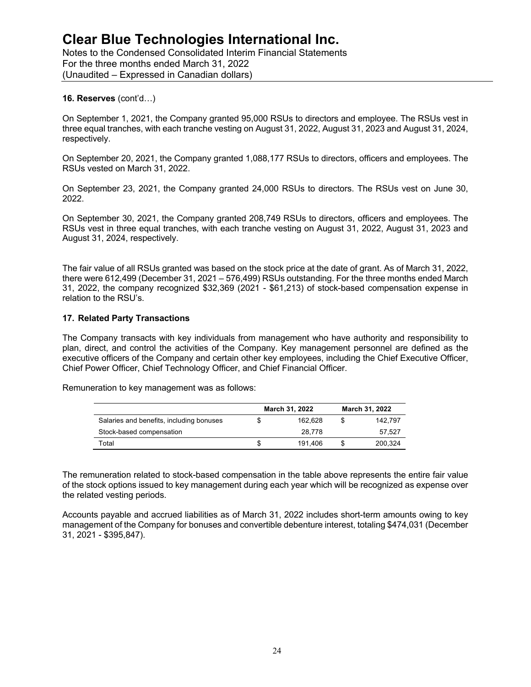Notes to the Condensed Consolidated Interim Financial Statements For the three months ended March 31, 2022 (Unaudited – Expressed in Canadian dollars)

### **16. Reserves** (cont'd…)

On September 1, 2021, the Company granted 95,000 RSUs to directors and employee. The RSUs vest in three equal tranches, with each tranche vesting on August 31, 2022, August 31, 2023 and August 31, 2024, respectively.

On September 20, 2021, the Company granted 1,088,177 RSUs to directors, officers and employees. The RSUs vested on March 31, 2022.

On September 23, 2021, the Company granted 24,000 RSUs to directors. The RSUs vest on June 30, 2022.

On September 30, 2021, the Company granted 208,749 RSUs to directors, officers and employees. The RSUs vest in three equal tranches, with each tranche vesting on August 31, 2022, August 31, 2023 and August 31, 2024, respectively.

The fair value of all RSUs granted was based on the stock price at the date of grant. As of March 31, 2022, there were 612,499 (December 31, 2021 – 576,499) RSUs outstanding. For the three months ended March 31, 2022, the company recognized \$32,369 (2021 - \$61,213) of stock-based compensation expense in relation to the RSU's.

### **17. Related Party Transactions**

The Company transacts with key individuals from management who have authority and responsibility to plan, direct, and control the activities of the Company. Key management personnel are defined as the executive officers of the Company and certain other key employees, including the Chief Executive Officer, Chief Power Officer, Chief Technology Officer, and Chief Financial Officer.

Remuneration to key management was as follows:

|                                          | March 31, 2022 | March 31, 2022 |
|------------------------------------------|----------------|----------------|
| Salaries and benefits, including bonuses | 162.628        | 142.797        |
| Stock-based compensation                 | 28.778         | 57.527         |
| Total                                    | 191.406        | 200.324        |

The remuneration related to stock-based compensation in the table above represents the entire fair value of the stock options issued to key management during each year which will be recognized as expense over the related vesting periods.

Accounts payable and accrued liabilities as of March 31, 2022 includes short-term amounts owing to key management of the Company for bonuses and convertible debenture interest, totaling \$474,031 (December 31, 2021 - \$395,847).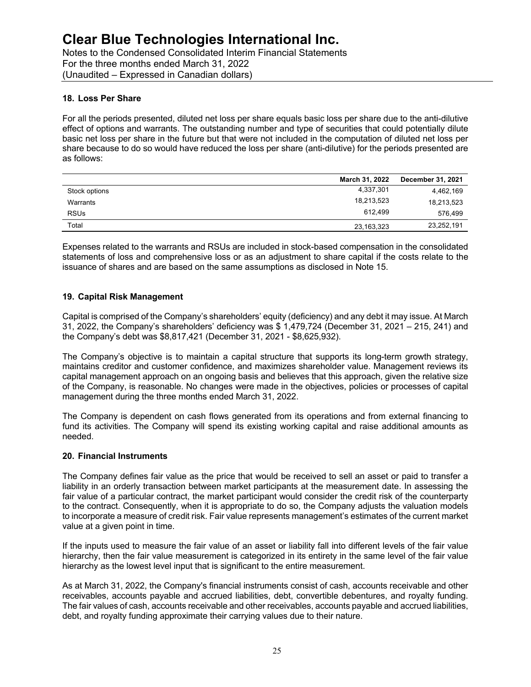Notes to the Condensed Consolidated Interim Financial Statements For the three months ended March 31, 2022 (Unaudited – Expressed in Canadian dollars)

# **18. Loss Per Share**

For all the periods presented, diluted net loss per share equals basic loss per share due to the anti-dilutive effect of options and warrants. The outstanding number and type of securities that could potentially dilute basic net loss per share in the future but that were not included in the computation of diluted net loss per share because to do so would have reduced the loss per share (anti-dilutive) for the periods presented are as follows:

|               | March 31, 2022 | <b>December 31, 2021</b> |
|---------------|----------------|--------------------------|
| Stock options | 4,337,301      | 4,462,169                |
| Warrants      | 18,213,523     | 18,213,523               |
| <b>RSUs</b>   | 612.499        | 576.499                  |
| Total         | 23,163,323     | 23,252,191               |

Expenses related to the warrants and RSUs are included in stock-based compensation in the consolidated statements of loss and comprehensive loss or as an adjustment to share capital if the costs relate to the issuance of shares and are based on the same assumptions as disclosed in Note 15.

# **19. Capital Risk Management**

Capital is comprised of the Company's shareholders' equity (deficiency) and any debt it may issue. At March 31, 2022, the Company's shareholders' deficiency was \$ 1,479,724 (December 31, 2021 – 215, 241) and the Company's debt was \$8,817,421 (December 31, 2021 - \$8,625,932).

The Company's objective is to maintain a capital structure that supports its long-term growth strategy, maintains creditor and customer confidence, and maximizes shareholder value. Management reviews its capital management approach on an ongoing basis and believes that this approach, given the relative size of the Company, is reasonable. No changes were made in the objectives, policies or processes of capital management during the three months ended March 31, 2022.

The Company is dependent on cash flows generated from its operations and from external financing to fund its activities. The Company will spend its existing working capital and raise additional amounts as needed.

# **20. Financial Instruments**

The Company defines fair value as the price that would be received to sell an asset or paid to transfer a liability in an orderly transaction between market participants at the measurement date. In assessing the fair value of a particular contract, the market participant would consider the credit risk of the counterparty to the contract. Consequently, when it is appropriate to do so, the Company adjusts the valuation models to incorporate a measure of credit risk. Fair value represents management's estimates of the current market value at a given point in time.

If the inputs used to measure the fair value of an asset or liability fall into different levels of the fair value hierarchy, then the fair value measurement is categorized in its entirety in the same level of the fair value hierarchy as the lowest level input that is significant to the entire measurement.

As at March 31, 2022, the Company's financial instruments consist of cash, accounts receivable and other receivables, accounts payable and accrued liabilities, debt, convertible debentures, and royalty funding. The fair values of cash, accounts receivable and other receivables, accounts payable and accrued liabilities, debt, and royalty funding approximate their carrying values due to their nature.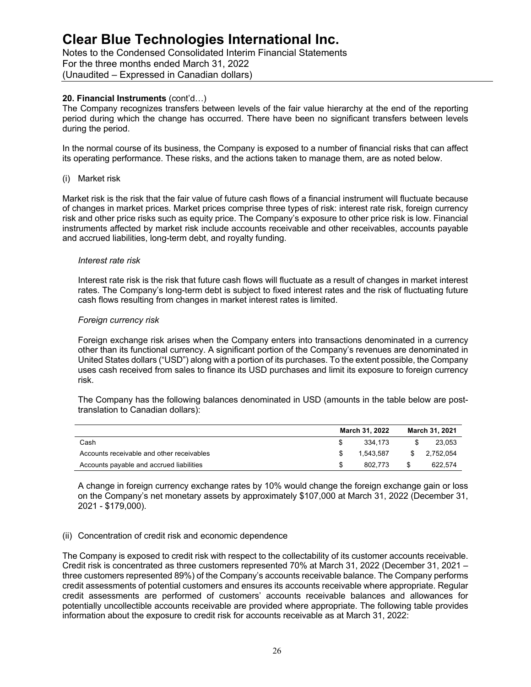Notes to the Condensed Consolidated Interim Financial Statements For the three months ended March 31, 2022 (Unaudited – Expressed in Canadian dollars)

### **20. Financial Instruments** (cont'd…)

The Company recognizes transfers between levels of the fair value hierarchy at the end of the reporting period during which the change has occurred. There have been no significant transfers between levels during the period.

In the normal course of its business, the Company is exposed to a number of financial risks that can affect its operating performance. These risks, and the actions taken to manage them, are as noted below.

#### (i) Market risk

Market risk is the risk that the fair value of future cash flows of a financial instrument will fluctuate because of changes in market prices. Market prices comprise three types of risk: interest rate risk, foreign currency risk and other price risks such as equity price. The Company's exposure to other price risk is low. Financial instruments affected by market risk include accounts receivable and other receivables, accounts payable and accrued liabilities, long-term debt, and royalty funding.

#### *Interest rate risk*

Interest rate risk is the risk that future cash flows will fluctuate as a result of changes in market interest rates. The Company's long-term debt is subject to fixed interest rates and the risk of fluctuating future cash flows resulting from changes in market interest rates is limited.

#### *Foreign currency risk*

Foreign exchange risk arises when the Company enters into transactions denominated in a currency other than its functional currency. A significant portion of the Company's revenues are denominated in United States dollars ("USD") along with a portion of its purchases. To the extent possible, the Company uses cash received from sales to finance its USD purchases and limit its exposure to foreign currency risk.

The Company has the following balances denominated in USD (amounts in the table below are posttranslation to Canadian dollars):

|                                           | March 31, 2022 | March 31, 2021 |
|-------------------------------------------|----------------|----------------|
| Cash                                      | 334.173        | 23.053         |
| Accounts receivable and other receivables | 1.543.587      | \$2.752.054    |
| Accounts payable and accrued liabilities  | 802.773        | 622.574        |

A change in foreign currency exchange rates by 10% would change the foreign exchange gain or loss on the Company's net monetary assets by approximately \$107,000 at March 31, 2022 (December 31, 2021 - \$179,000).

#### (ii) Concentration of credit risk and economic dependence

The Company is exposed to credit risk with respect to the collectability of its customer accounts receivable. Credit risk is concentrated as three customers represented 70% at March 31, 2022 (December 31, 2021 – three customers represented 89%) of the Company's accounts receivable balance. The Company performs credit assessments of potential customers and ensures its accounts receivable where appropriate. Regular credit assessments are performed of customers' accounts receivable balances and allowances for potentially uncollectible accounts receivable are provided where appropriate. The following table provides information about the exposure to credit risk for accounts receivable as at March 31, 2022: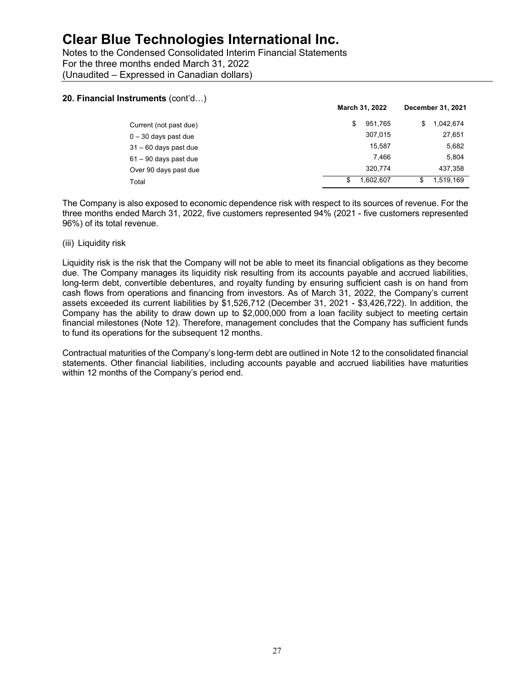Notes to the Condensed Consolidated Interim Financial Statements For the three months ended March 31, 2022 (Unaudited – Expressed in Canadian dollars)

#### **20. Financial Instruments** (cont'd…)

|                         | March 31, 2022 | December 31, 2021 |  |
|-------------------------|----------------|-------------------|--|
| Current (not past due)  | \$<br>951.765  | 1.042.674<br>S    |  |
| $0 - 30$ days past due  | 307.015        | 27,651            |  |
| $31 - 60$ days past due | 15.587         | 5,682             |  |
| $61 - 90$ days past due | 7.466          | 5,804             |  |
| Over 90 days past due   | 320.774        | 437,358           |  |
| Total                   | 1.602.607<br>S | 1.519.169<br>\$   |  |

The Company is also exposed to economic dependence risk with respect to its sources of revenue. For the three months ended March 31, 2022, five customers represented 94% (2021 - five customers represented 96%) of its total revenue.

#### (iii) Liquidity risk

Liquidity risk is the risk that the Company will not be able to meet its financial obligations as they become due. The Company manages its liquidity risk resulting from its accounts payable and accrued liabilities, long-term debt, convertible debentures, and royalty funding by ensuring sufficient cash is on hand from cash flows from operations and financing from investors. As of March 31, 2022, the Company's current assets exceeded its current liabilities by \$1,526,712 (December 31, 2021 - \$3,426,722). In addition, the Company has the ability to draw down up to \$2,000,000 from a loan facility subject to meeting certain financial milestones (Note 12). Therefore, management concludes that the Company has sufficient funds to fund its operations for the subsequent 12 months.

Contractual maturities of the Company's long-term debt are outlined in Note 12 to the consolidated financial statements. Other financial liabilities, including accounts payable and accrued liabilities have maturities within 12 months of the Company's period end.